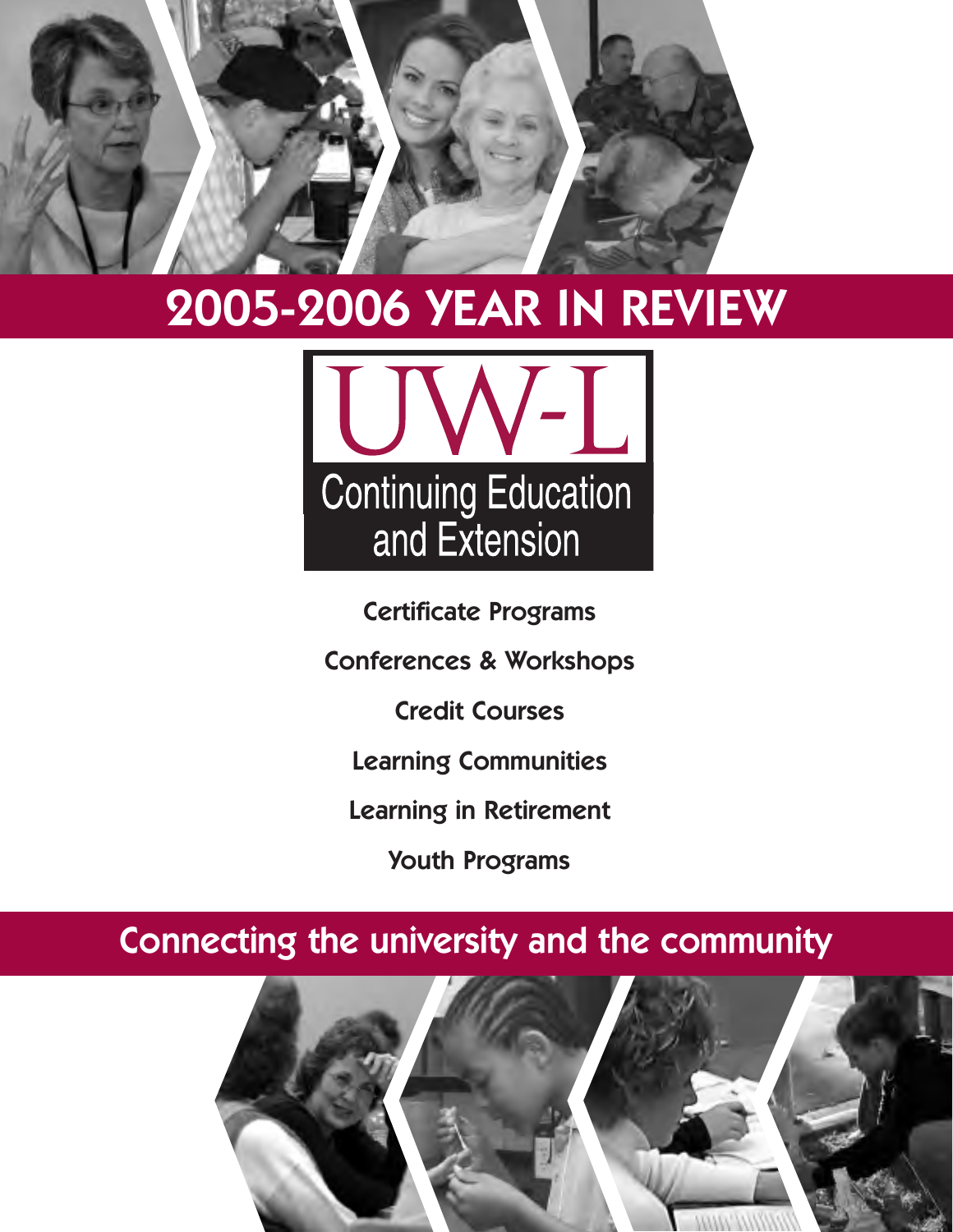

## **2005-2006 YEAR IN REVIEW**



**Certificate Programs**

**Conferences & Workshops**

**Credit Courses**

**Learning Communities**

**Learning in Retirement** 

**Youth Programs**

## **Connecting the university and the community**

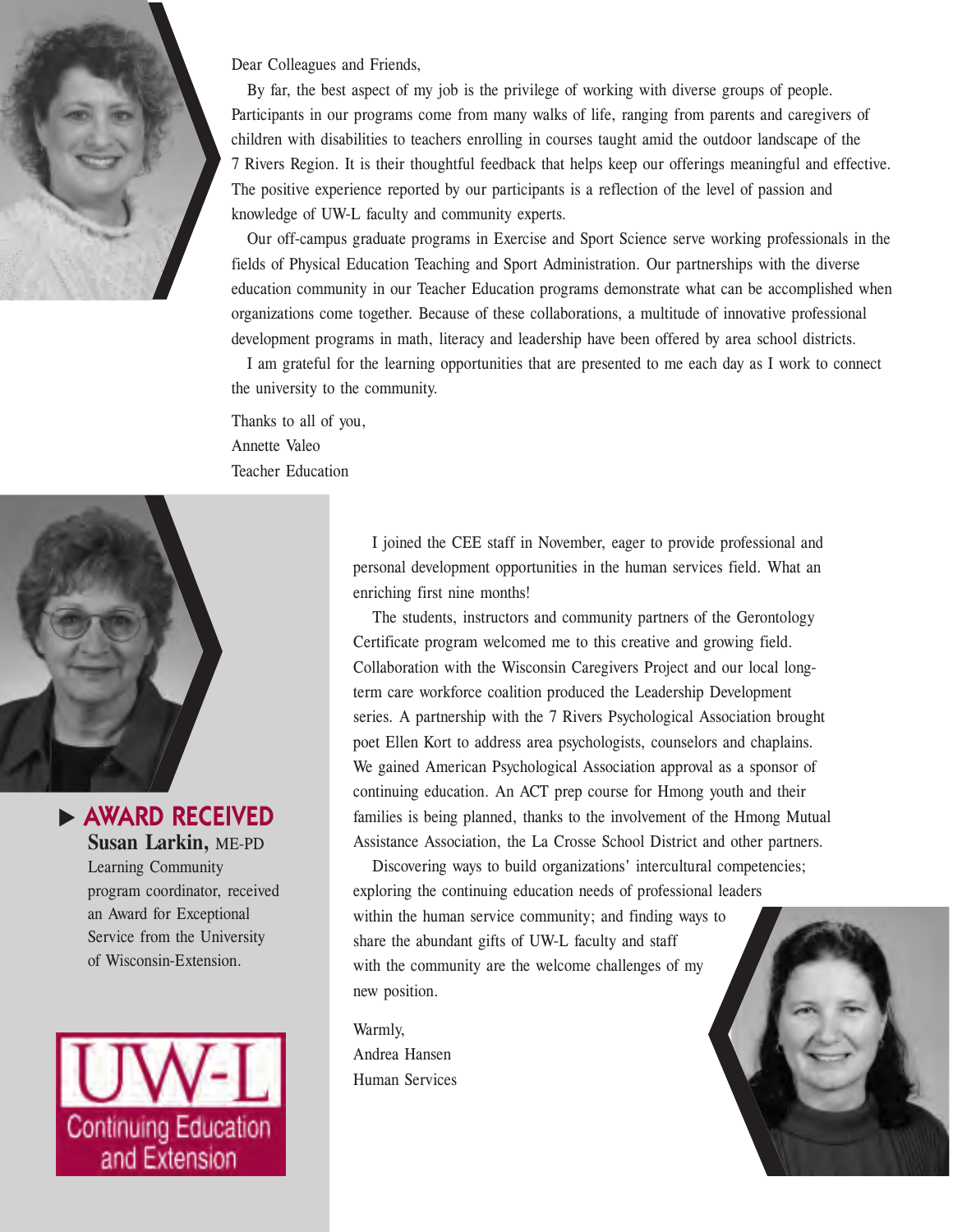

Dear Colleagues and Friends,

By far, the best aspect of my job is the privilege of working with diverse groups of people. Participants in our programs come from many walks of life, ranging from parents and caregivers of children with disabilities to teachers enrolling in courses taught amid the outdoor landscape of the 7 Rivers Region. It is their thoughtful feedback that helps keep our offerings meaningful and effective. The positive experience reported by our participants is a reflection of the level of passion and knowledge of UW-L faculty and community experts.

Our off-campus graduate programs in Exercise and Sport Science serve working professionals in the fields of Physical Education Teaching and Sport Administration. Our partnerships with the diverse education community in our Teacher Education programs demonstrate what can be accomplished when organizations come together. Because of these collaborations, a multitude of innovative professional development programs in math, literacy and leadership have been offered by area school districts.

I am grateful for the learning opportunities that are presented to me each day as I work to connect the university to the community.

Thanks to all of you, Annette Valeo Teacher Education



u **AWARD RECEIVED Susan Larkin,** ME-PD Learning Community program coordinator, received an Award for Exceptional Service from the University of Wisconsin-Extension.



I joined the CEE staff in November, eager to provide professional and personal development opportunities in the human services field. What an enriching first nine months!

The students, instructors and community partners of the Gerontology Certificate program welcomed me to this creative and growing field. Collaboration with the Wisconsin Caregivers Project and our local longterm care workforce coalition produced the Leadership Development series. A partnership with the 7 Rivers Psychological Association brought poet Ellen Kort to address area psychologists, counselors and chaplains. We gained American Psychological Association approval as a sponsor of continuing education. An ACT prep course for Hmong youth and their families is being planned, thanks to the involvement of the Hmong Mutual Assistance Association, the La Crosse School District and other partners.

Discovering ways to build organizations' intercultural competencies; exploring the continuing education needs of professional leaders within the human service community; and finding ways to share the abundant gifts of UW-L faculty and staff with the community are the welcome challenges of my new position.

Warmly, Andrea Hansen Human Services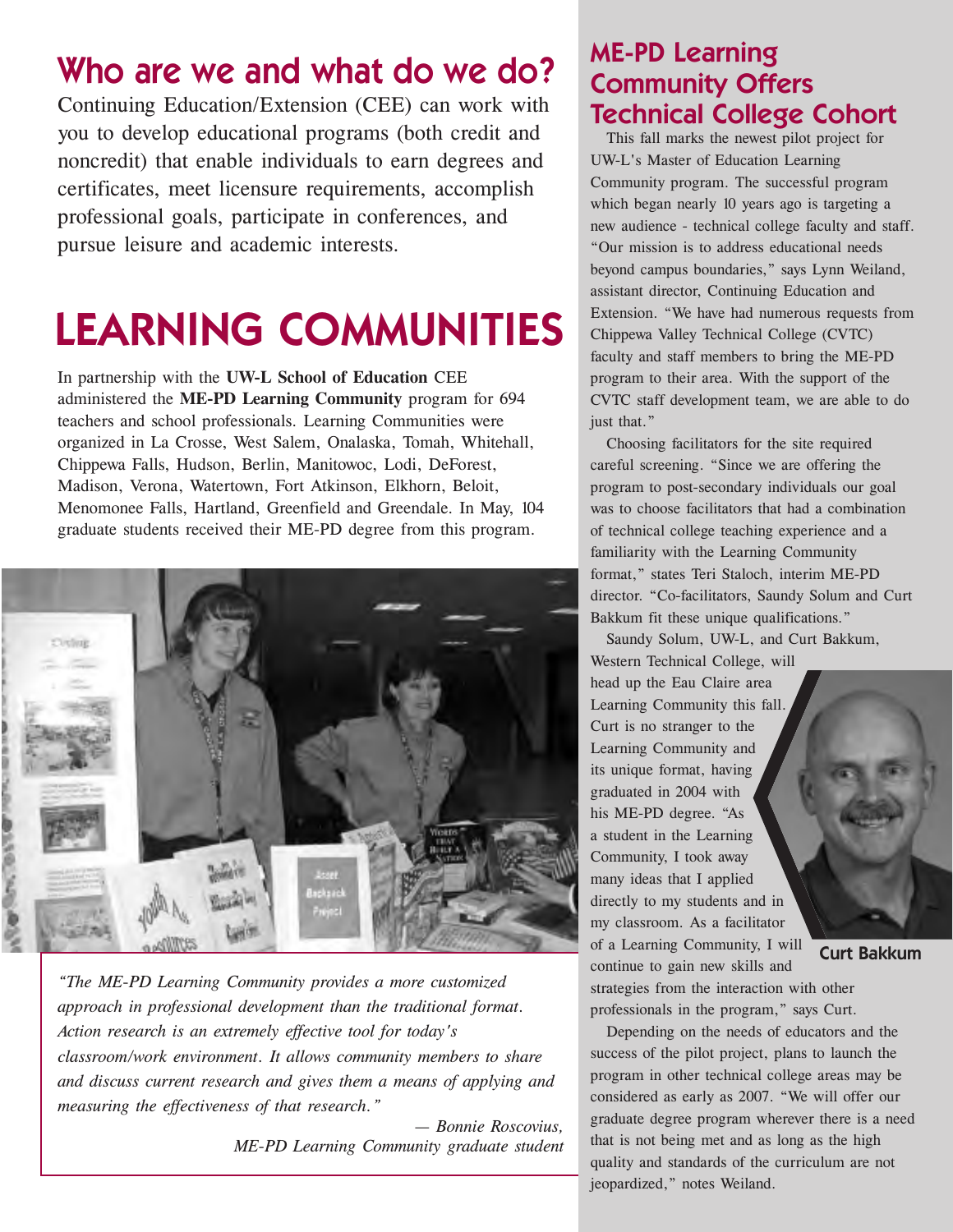## **Who are we and what do we do?**

Continuing Education/Extension (CEE) can work with you to develop educational programs (both credit and noncredit) that enable individuals to earn degrees and certificates, meet licensure requirements, accomplish professional goals, participate in conferences, and pursue leisure and academic interests.

# **LEARNING COMMUNITIES**

In partnership with the **UW-L School of Education** CEE administered the **ME-PD Learning Community** program for 694 teachers and school professionals. Learning Communities were organized in La Crosse, West Salem, Onalaska, Tomah, Whitehall, Chippewa Falls, Hudson, Berlin, Manitowoc, Lodi, DeForest, Madison, Verona, Watertown, Fort Atkinson, Elkhorn, Beloit, Menomonee Falls, Hartland, Greenfield and Greendale. In May, 104 graduate students received their ME-PD degree from this program.



*"The ME-PD Learning Community provides a more customized approach in professional development than the traditional format. Action research is an extremely effective tool for today's classroom/work environment. It allows community members to share and discuss current research and gives them a means of applying and measuring the effectiveness of that research."*

> *— Bonnie Roscovius, ME-PD Learning Community graduate student*

#### **ME-PD Learning Community Offers Technical College Cohort**

This fall marks the newest pilot project for UW-L's Master of Education Learning Community program. The successful program which began nearly 10 years ago is targeting a new audience - technical college faculty and staff. "Our mission is to address educational needs beyond campus boundaries," says Lynn Weiland, assistant director, Continuing Education and Extension. "We have had numerous requests from Chippewa Valley Technical College (CVTC) faculty and staff members to bring the ME-PD program to their area. With the support of the CVTC staff development team, we are able to do just that."

Choosing facilitators for the site required careful screening. "Since we are offering the program to post-secondary individuals our goal was to choose facilitators that had a combination of technical college teaching experience and a familiarity with the Learning Community format," states Teri Staloch, interim ME-PD director. "Co-facilitators, Saundy Solum and Curt Bakkum fit these unique qualifications."

Saundy Solum, UW-L, and Curt Bakkum, Western Technical College, will

head up the Eau Claire area Learning Community this fall. Curt is no stranger to the Learning Community and its unique format, having graduated in 2004 with his ME-PD degree. "As a student in the Learning Community, I took away many ideas that I applied directly to my students and in my classroom. As a facilitator of a Learning Community, I will continue to gain new skills and

**Curt Bakkum**

strategies from the interaction with other professionals in the program," says Curt.

Depending on the needs of educators and the success of the pilot project, plans to launch the program in other technical college areas may be considered as early as 2007. "We will offer our graduate degree program wherever there is a need that is not being met and as long as the high quality and standards of the curriculum are not jeopardized," notes Weiland.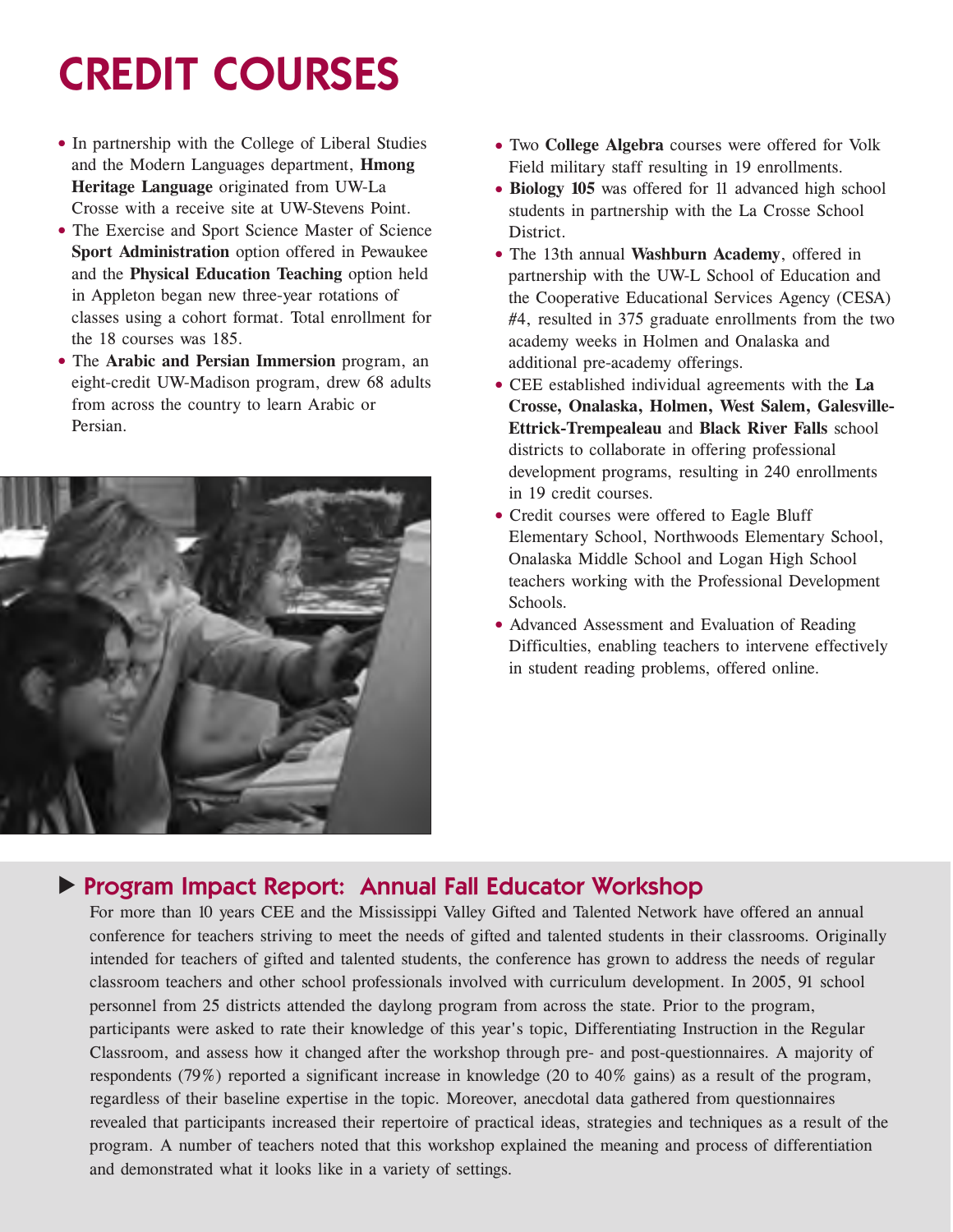# **CREDIT COURSES**

- In partnership with the College of Liberal Studies and the Modern Languages department, **Hmong Heritage Language** originated from UW-La Crosse with a receive site at UW-Stevens Point.
- The Exercise and Sport Science Master of Science **Sport Administration** option offered in Pewaukee and the **Physical Education Teaching** option held in Appleton began new three-year rotations of classes using a cohort format. Total enrollment for the 18 courses was 185.
- The **Arabic and Persian Immersion** program, an eight-credit UW-Madison program, drew 68 adults from across the country to learn Arabic or Persian.



- Two **College Algebra** courses were offered for Volk Field military staff resulting in 19 enrollments.
- **Biology 105** was offered for 11 advanced high school students in partnership with the La Crosse School District.
- The 13th annual **Washburn Academy**, offered in partnership with the UW-L School of Education and the Cooperative Educational Services Agency (CESA) #4, resulted in 375 graduate enrollments from the two academy weeks in Holmen and Onalaska and additional pre-academy offerings.
- CEE established individual agreements with the **La Crosse, Onalaska, Holmen, West Salem, Galesville-Ettrick-Trempealeau** and **Black River Falls** school districts to collaborate in offering professional development programs, resulting in 240 enrollments in 19 credit courses.
- Credit courses were offered to Eagle Bluff Elementary School, Northwoods Elementary School, Onalaska Middle School and Logan High School teachers working with the Professional Development Schools.
- Advanced Assessment and Evaluation of Reading Difficulties, enabling teachers to intervene effectively in student reading problems, offered online.

#### **Program Impact Report: Annual Fall Educator Workshop**

For more than 10 years CEE and the Mississippi Valley Gifted and Talented Network have offered an annual conference for teachers striving to meet the needs of gifted and talented students in their classrooms. Originally intended for teachers of gifted and talented students, the conference has grown to address the needs of regular classroom teachers and other school professionals involved with curriculum development. In 2005, 91 school personnel from 25 districts attended the daylong program from across the state. Prior to the program, participants were asked to rate their knowledge of this year's topic, Differentiating Instruction in the Regular Classroom, and assess how it changed after the workshop through pre- and post-questionnaires. A majority of respondents (79%) reported a significant increase in knowledge (20 to 40% gains) as a result of the program, regardless of their baseline expertise in the topic. Moreover, anecdotal data gathered from questionnaires revealed that participants increased their repertoire of practical ideas, strategies and techniques as a result of the program. A number of teachers noted that this workshop explained the meaning and process of differentiation and demonstrated what it looks like in a variety of settings.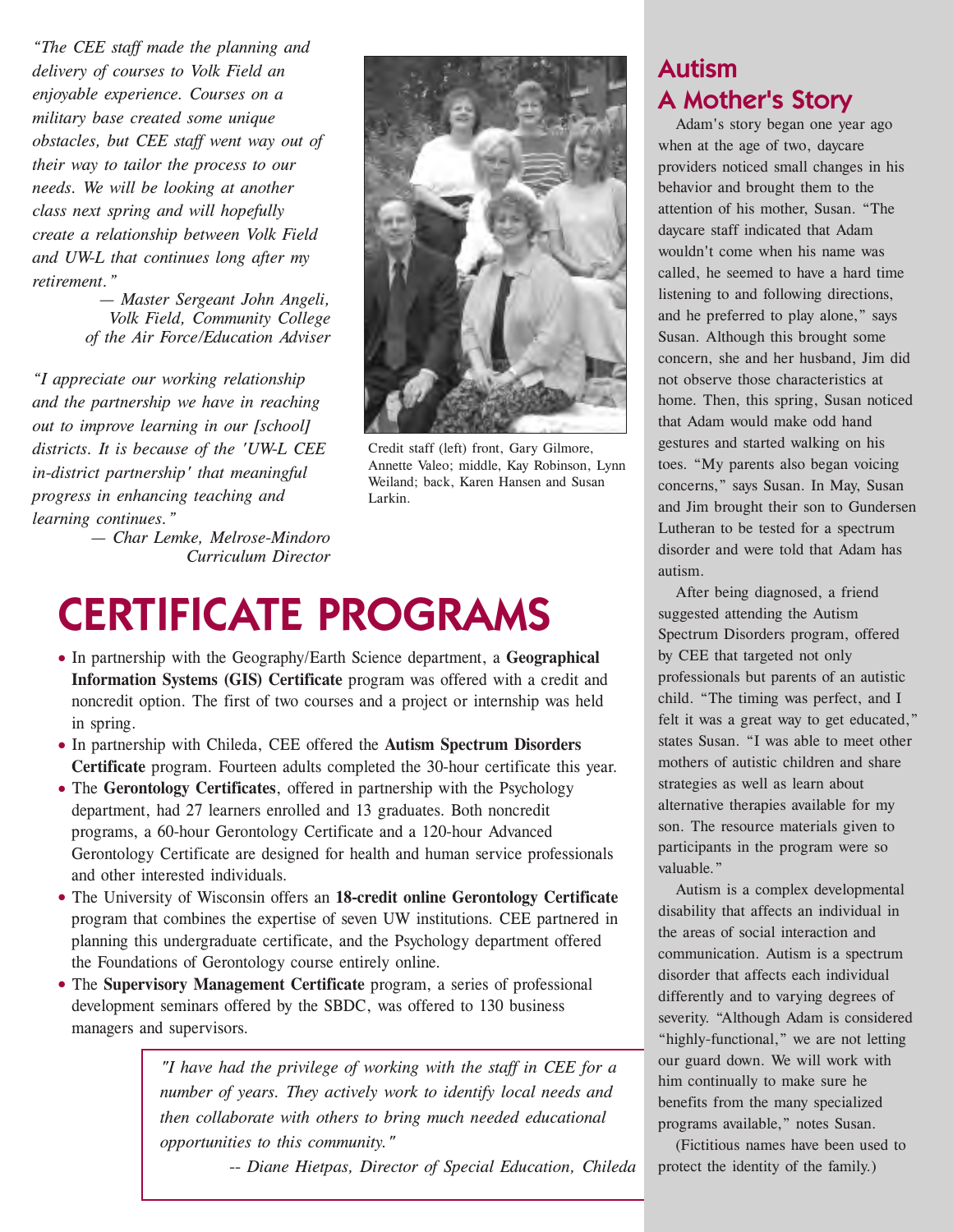*"The CEE staff made the planning and delivery of courses to Volk Field an enjoyable experience. Courses on a military base created some unique obstacles, but CEE staff went way out of their way to tailor the process to our needs. We will be looking at another class next spring and will hopefully create a relationship between Volk Field and UW-L that continues long after my retirement."*

> *— Master Sergeant John Angeli, Volk Field, Community College of the Air Force/Education Adviser*

*"I appreciate our working relationship and the partnership we have in reaching out to improve learning in our [school] districts. It is because of the 'UW-L CEE in-district partnership' that meaningful progress in enhancing teaching and learning continues."*

> *— Char Lemke, Melrose-Mindoro Curriculum Director*



Credit staff (left) front, Gary Gilmore, Annette Valeo; middle, Kay Robinson, Lynn Weiland; back, Karen Hansen and Susan Larkin.

## **CERTIFICATE PROGRAMS**

- In partnership with the Geography/Earth Science department, a **Geographical Information Systems (GIS) Certificate** program was offered with a credit and noncredit option. The first of two courses and a project or internship was held in spring.
- In partnership with Chileda, CEE offered the **Autism Spectrum Disorders Certificate** program. Fourteen adults completed the 30-hour certificate this year.
- The **Gerontology Certificates**, offered in partnership with the Psychology department, had 27 learners enrolled and 13 graduates. Both noncredit programs, a 60-hour Gerontology Certificate and a 120-hour Advanced Gerontology Certificate are designed for health and human service professionals and other interested individuals.
- The University of Wisconsin offers an **18-credit online Gerontology Certificate** program that combines the expertise of seven UW institutions. CEE partnered in planning this undergraduate certificate, and the Psychology department offered the Foundations of Gerontology course entirely online.
- The **Supervisory Management Certificate** program, a series of professional development seminars offered by the SBDC, was offered to 130 business managers and supervisors.

*"I have had the privilege of working with the staff in CEE for a number of years. They actively work to identify local needs and then collaborate with others to bring much needed educational opportunities to this community."*

*-- Diane Hietpas, Director of Special Education, Chileda*

#### **Autism A Mother's Story**

Adam's story began one year ago when at the age of two, daycare providers noticed small changes in his behavior and brought them to the attention of his mother, Susan. "The daycare staff indicated that Adam wouldn't come when his name was called, he seemed to have a hard time listening to and following directions, and he preferred to play alone," says Susan. Although this brought some concern, she and her husband, Jim did not observe those characteristics at home. Then, this spring, Susan noticed that Adam would make odd hand gestures and started walking on his toes. "My parents also began voicing concerns," says Susan. In May, Susan and Jim brought their son to Gundersen Lutheran to be tested for a spectrum disorder and were told that Adam has autism.

After being diagnosed, a friend suggested attending the Autism Spectrum Disorders program, offered by CEE that targeted not only professionals but parents of an autistic child. "The timing was perfect, and I felt it was a great way to get educated," states Susan. "I was able to meet other mothers of autistic children and share strategies as well as learn about alternative therapies available for my son. The resource materials given to participants in the program were so valuable."

Autism is a complex developmental disability that affects an individual in the areas of social interaction and communication. Autism is a spectrum disorder that affects each individual differently and to varying degrees of severity. "Although Adam is considered "highly-functional," we are not letting our guard down. We will work with him continually to make sure he benefits from the many specialized programs available," notes Susan.

(Fictitious names have been used to protect the identity of the family.)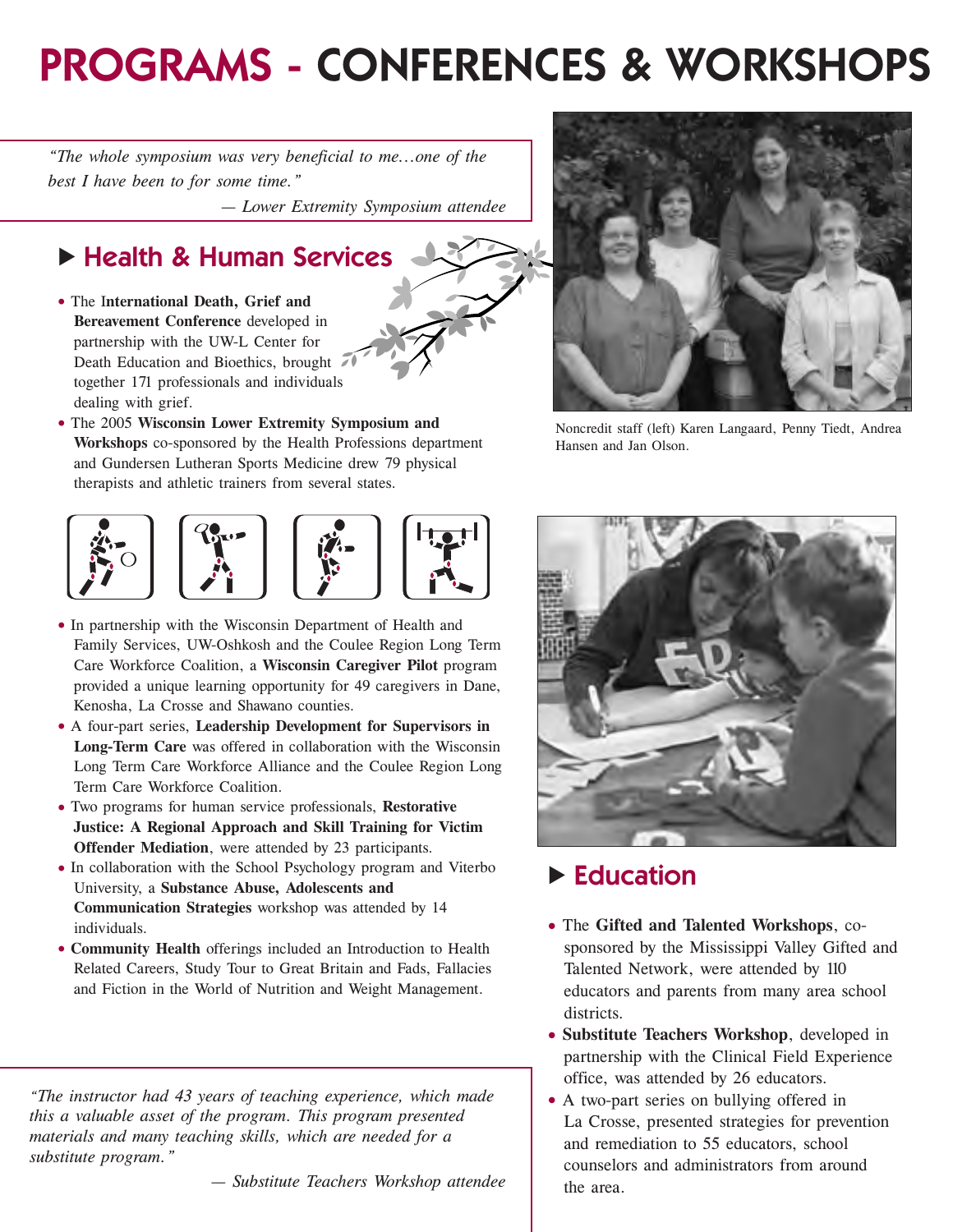## **PROGRAMS - CONFERENCES & WORKSHOPS**

*"The whole symposium was very beneficial to me...one of the best I have been to for some time."*

*— Lower Extremity Symposium attendee*

### **Example 3 Human Services**

- The I**nternational Death, Grief and Bereavement Conference** developed in partnership with the UW-L Center for Death Education and Bioethics, brought together 171 professionals and individuals dealing with grief.
- The 2005 **Wisconsin Lower Extremity Symposium and Workshops** co-sponsored by the Health Professions department and Gundersen Lutheran Sports Medicine drew 79 physical therapists and athletic trainers from several states.



- In partnership with the Wisconsin Department of Health and Family Services, UW-Oshkosh and the Coulee Region Long Term Care Workforce Coalition, a **Wisconsin Caregiver Pilot** program provided a unique learning opportunity for 49 caregivers in Dane, Kenosha, La Crosse and Shawano counties.
- A four-part series, **Leadership Development for Supervisors in Long-Term Care** was offered in collaboration with the Wisconsin Long Term Care Workforce Alliance and the Coulee Region Long Term Care Workforce Coalition.
- Two programs for human service professionals, **Restorative Justice: A Regional Approach and Skill Training for Victim Offender Mediation**, were attended by 23 participants.
- In collaboration with the School Psychology program and Viterbo University, a **Substance Abuse, Adolescents and Communication Strategies** workshop was attended by 14 individuals.
- **Community Health** offerings included an Introduction to Health Related Careers, Study Tour to Great Britain and Fads, Fallacies and Fiction in the World of Nutrition and Weight Management.

*"The instructor had 43 years of teaching experience, which made this a valuable asset of the program. This program presented materials and many teaching skills, which are needed for a substitute program."*

*— Substitute Teachers Workshop attendee*



Noncredit staff (left) Karen Langaard, Penny Tiedt, Andrea Hansen and Jan Olson.



#### **Education**

- The **Gifted and Talented Workshops**, cosponsored by the Mississippi Valley Gifted and Talented Network, were attended by 110 educators and parents from many area school districts.
- **Substitute Teachers Workshop**, developed in partnership with the Clinical Field Experience office, was attended by 26 educators.
- A two-part series on bullying offered in La Crosse, presented strategies for prevention and remediation to 55 educators, school counselors and administrators from around the area.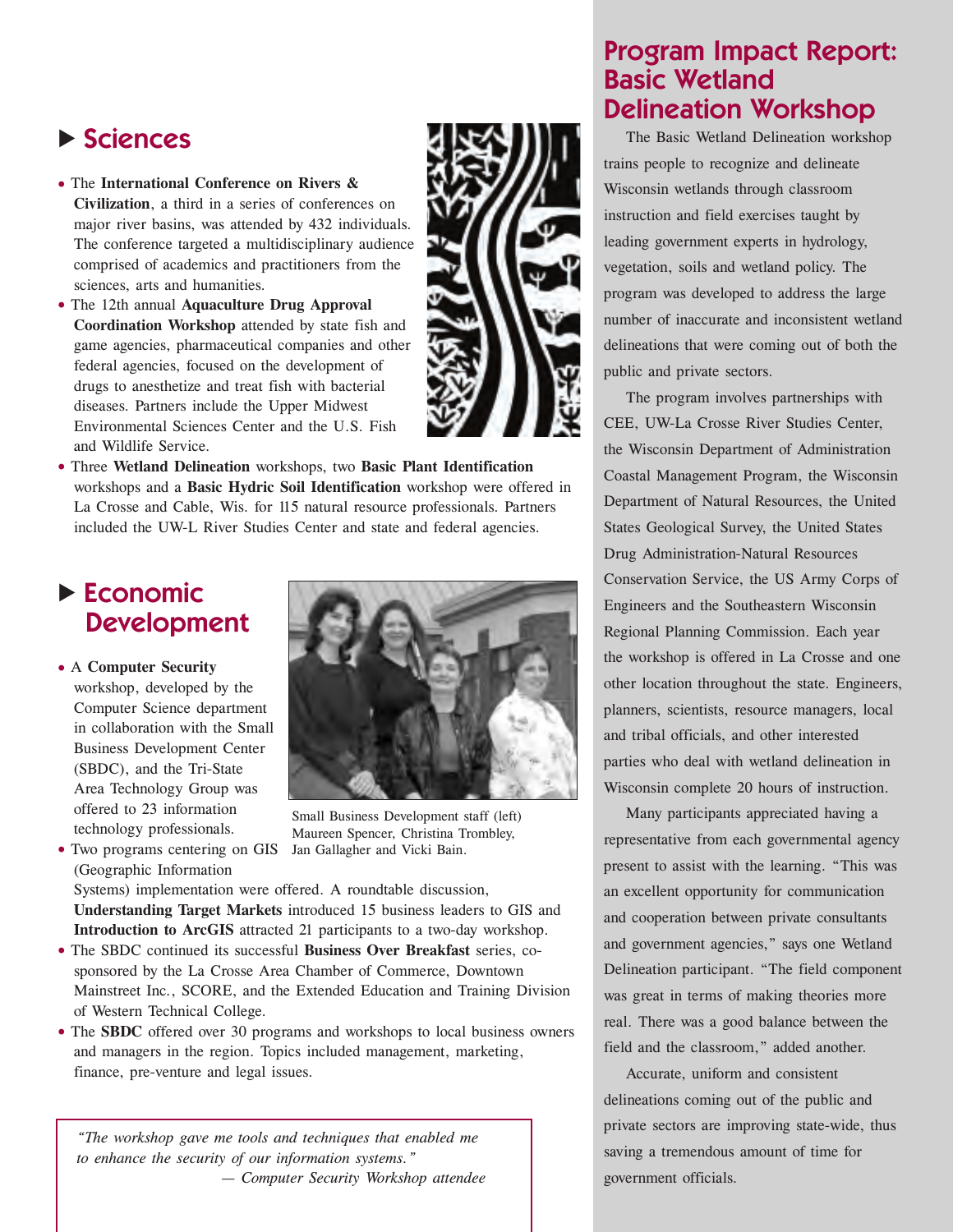### **E** Sciences

- The **International Conference on Rivers & Civilization**, a third in a series of conferences on major river basins, was attended by 432 individuals. The conference targeted a multidisciplinary audience comprised of academics and practitioners from the sciences, arts and humanities.
- The 12th annual **Aquaculture Drug Approval Coordination Workshop** attended by state fish and game agencies, pharmaceutical companies and other federal agencies, focused on the development of drugs to anesthetize and treat fish with bacterial diseases. Partners include the Upper Midwest Environmental Sciences Center and the U.S. Fish and Wildlife Service.



• Three **Wetland Delineation** workshops, two **Basic Plant Identification** workshops and a **Basic Hydric Soil Identification** workshop were offered in La Crosse and Cable, Wis. for 115 natural resource professionals. Partners included the UW-L River Studies Center and state and federal agencies.

#### **Economic Development**

• A **Computer Security** workshop, developed by the Computer Science department in collaboration with the Small Business Development Center (SBDC), and the Tri-State Area Technology Group was offered to 23 information

technology professionals. • Two programs centering on GIS



Small Business Development staff (left) Maureen Spencer, Christina Trombley, Jan Gallagher and Vicki Bain.

(Geographic Information Systems) implementation were offered. A roundtable discussion, **Understanding Target Markets** introduced 15 business leaders to GIS and **Introduction to ArcGIS** attracted 21 participants to a two-day workshop.

- The SBDC continued its successful **Business Over Breakfast** series, cosponsored by the La Crosse Area Chamber of Commerce, Downtown Mainstreet Inc., SCORE, and the Extended Education and Training Division of Western Technical College.
- The **SBDC** offered over 30 programs and workshops to local business owners and managers in the region. Topics included management, marketing, finance, pre-venture and legal issues.

*"The workshop gave me tools and techniques that enabled me to enhance the security of our information systems." — Computer Security Workshop attendee*

#### **Program Impact Report: Basic Wetland Delineation Workshop**

The Basic Wetland Delineation workshop trains people to recognize and delineate Wisconsin wetlands through classroom instruction and field exercises taught by leading government experts in hydrology, vegetation, soils and wetland policy. The program was developed to address the large number of inaccurate and inconsistent wetland delineations that were coming out of both the public and private sectors.

The program involves partnerships with CEE, UW-La Crosse River Studies Center, the Wisconsin Department of Administration Coastal Management Program, the Wisconsin Department of Natural Resources, the United States Geological Survey, the United States Drug Administration-Natural Resources Conservation Service, the US Army Corps of Engineers and the Southeastern Wisconsin Regional Planning Commission. Each year the workshop is offered in La Crosse and one other location throughout the state. Engineers, planners, scientists, resource managers, local and tribal officials, and other interested parties who deal with wetland delineation in Wisconsin complete 20 hours of instruction.

Many participants appreciated having a representative from each governmental agency present to assist with the learning. "This was an excellent opportunity for communication and cooperation between private consultants and government agencies," says one Wetland Delineation participant. "The field component was great in terms of making theories more real. There was a good balance between the field and the classroom," added another.

Accurate, uniform and consistent delineations coming out of the public and private sectors are improving state-wide, thus saving a tremendous amount of time for government officials.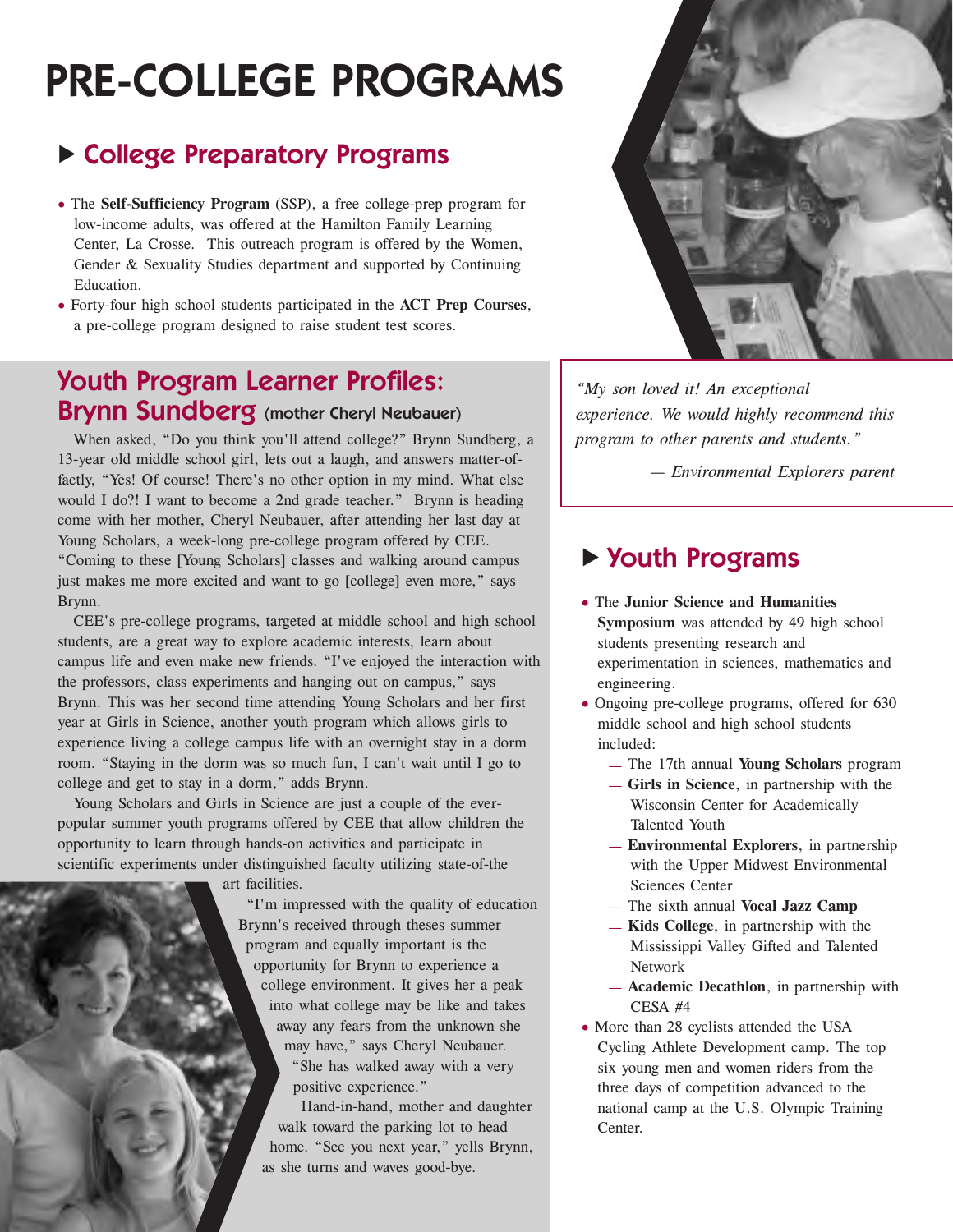## **PRE-COLLEGE PROGRAMS**

### **Example 2 College Preparatory Programs**

- The **Self-Sufficiency Program** (SSP), a free college-prep program for low-income adults, was offered at the Hamilton Family Learning Center, La Crosse. This outreach program is offered by the Women, Gender & Sexuality Studies department and supported by Continuing Education.
- Forty-four high school students participated in the **ACT Prep Courses**, a pre-college program designed to raise student test scores.

#### **Youth Program Learner Profiles: Brynn Sundberg (mother Cheryl Neubauer)**

When asked, "Do you think you'll attend college?" Brynn Sundberg, a 13-year old middle school girl, lets out a laugh, and answers matter-offactly, "Yes! Of course! There's no other option in my mind. What else would I do?! I want to become a 2nd grade teacher." Brynn is heading come with her mother, Cheryl Neubauer, after attending her last day at Young Scholars, a week-long pre-college program offered by CEE. "Coming to these [Young Scholars] classes and walking around campus just makes me more excited and want to go [college] even more," says Brynn.

CEE's pre-college programs, targeted at middle school and high school students, are a great way to explore academic interests, learn about campus life and even make new friends. "I've enjoyed the interaction with the professors, class experiments and hanging out on campus," says Brynn. This was her second time attending Young Scholars and her first year at Girls in Science, another youth program which allows girls to experience living a college campus life with an overnight stay in a dorm room. "Staying in the dorm was so much fun, I can't wait until I go to college and get to stay in a dorm," adds Brynn.

Young Scholars and Girls in Science are just a couple of the everpopular summer youth programs offered by CEE that allow children the opportunity to learn through hands-on activities and participate in scientific experiments under distinguished faculty utilizing state-of-the

art facilities.

"I'm impressed with the quality of education Brynn's received through theses summer program and equally important is the opportunity for Brynn to experience a college environment. It gives her a peak into what college may be like and takes away any fears from the unknown she may have," says Cheryl Neubauer. "She has walked away with a very positive experience."

Hand-in-hand, mother and daughter walk toward the parking lot to head home. "See you next year," yells Brynn, as she turns and waves good-bye.



*"My son loved it! An exceptional experience. We would highly recommend this program to other parents and students."*

*— Environmental Explorers parent*

#### ▶ Youth Programs

- The **Junior Science and Humanities Symposium** was attended by 49 high school students presenting research and experimentation in sciences, mathematics and engineering.
- Ongoing pre-college programs, offered for 630 middle school and high school students included:
	- The 17th annual **Young Scholars** program
	- **Girls in Science**, in partnership with the Wisconsin Center for Academically Talented Youth
	- **Environmental Explorers**, in partnership with the Upper Midwest Environmental Sciences Center
	- The sixth annual **Vocal Jazz Camp**
	- **Kids College**, in partnership with the Mississippi Valley Gifted and Talented Network
	- **Academic Decathlon**, in partnership with CESA #4
- More than 28 cyclists attended the USA Cycling Athlete Development camp. The top six young men and women riders from the three days of competition advanced to the national camp at the U.S. Olympic Training Center.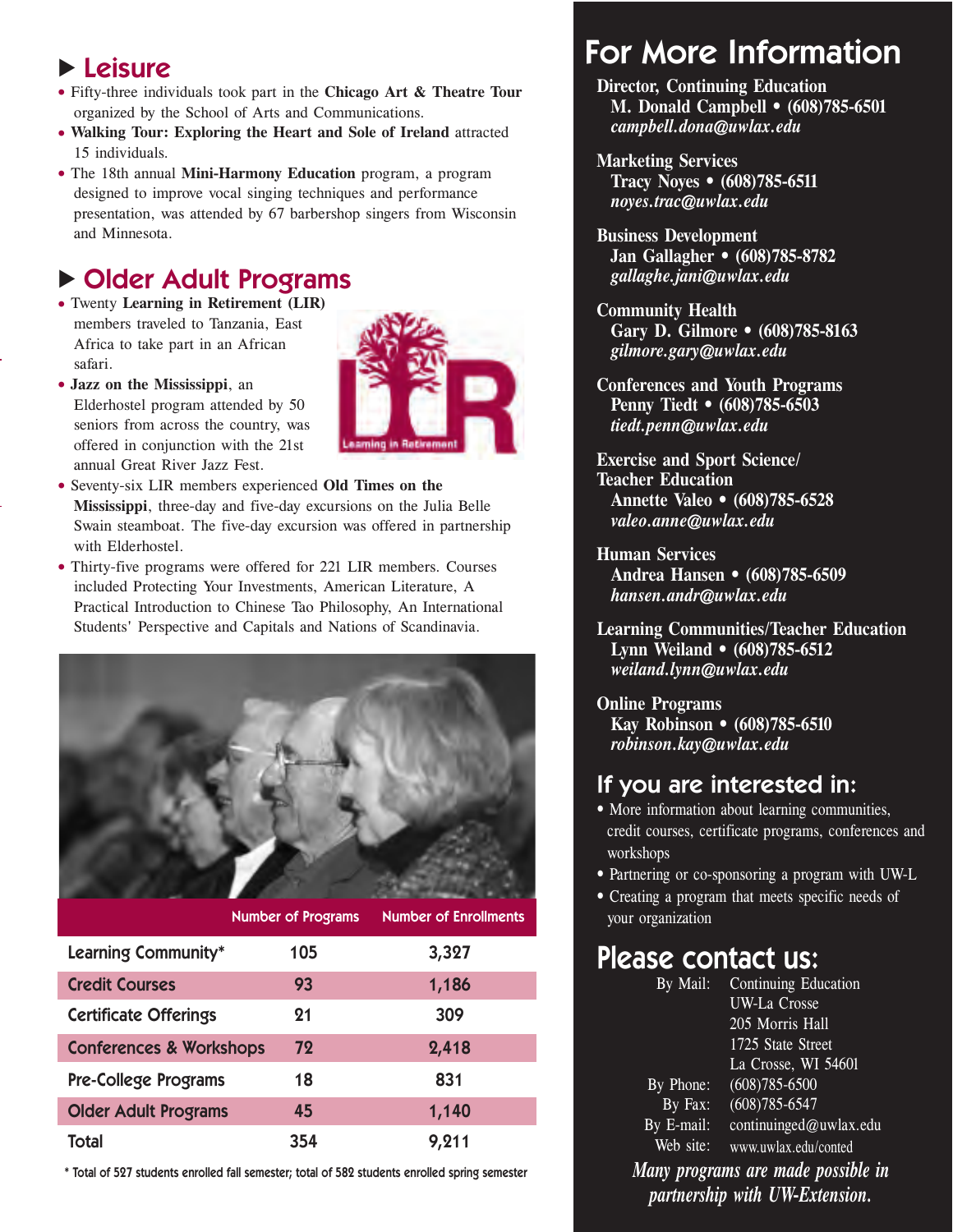### **Leisure**

- Fifty-three individuals took part in the **Chicago Art & Theatre Tour** organized by the School of Arts and Communications.
- **Walking Tour: Exploring the Heart and Sole of Ireland** attracted 15 individuals.
- The 18th annual **Mini-Harmony Education** program, a program designed to improve vocal singing techniques and performance presentation, was attended by 67 barbershop singers from Wisconsin and Minnesota.

### **Dider Adult Programs**

- Twenty **Learning in Retirement (LIR)** members traveled to Tanzania, East Africa to take part in an African safari.
- **Jazz on the Mississippi**, an Elderhostel program attended by 50 seniors from across the country, was offered in conjunction with the 21st annual Great River Jazz Fest.



- Seventy-six LIR members experienced **Old Times on the Mississippi**, three-day and five-day excursions on the Julia Belle Swain steamboat. The five-day excursion was offered in partnership with Elderhostel.
- Thirty-five programs were offered for 221 LIR members. Courses included Protecting Your Investments, American Literature, A Practical Introduction to Chinese Tao Philosophy, An International Students' Perspective and Capitals and Nations of Scandinavia.



|                                    | <b>Number of Programs</b> | <b>Number of Enrollments</b> |
|------------------------------------|---------------------------|------------------------------|
| <b>Learning Community*</b>         | 105                       | 3,327                        |
| <b>Credit Courses</b>              | 93                        | 1,186                        |
| <b>Certificate Offerings</b>       | 21                        | 309                          |
| <b>Conferences &amp; Workshops</b> | 72                        | 2,418                        |
| <b>Pre-College Programs</b>        | 18                        | 831                          |
| <b>Older Adult Programs</b>        | 45                        | 1,140                        |
| <b>Total</b>                       | 354                       | 9,211                        |

**\* Total of 527 students enrolled fall semester; total of 582 students enrolled spring semester**

## **For More Information**

- **Director, Continuing Education M. Donald Campbell • (608)785-6501**  *campbell.dona@uwlax.edu*
- **Marketing Services Tracy Noyes • (608)785-6511**  *noyes.trac@uwlax.edu*
- **Business Development Jan Gallagher • (608)785-8782** *gallaghe.jani@uwlax.edu*
- **Community Health Gary D. Gilmore • (608)785-8163**  *gilmore.gary@uwlax.edu*
- **Conferences and Youth Programs Penny Tiedt • (608)785-6503**  *tiedt.penn@uwlax.edu*
- **Exercise and Sport Science/ Teacher Education Annette Valeo • (608)785-6528**  *valeo.anne@uwlax.edu*

**Human Services Andrea Hansen • (608)785-6509**  *hansen.andr@uwlax.edu*

**Learning Communities/Teacher Education Lynn Weiland • (608)785-6512**  *weiland.lynn@uwlax.edu* 

**Online Programs Kay Robinson • (608)785-6510**  *robinson.kay@uwlax.edu*

#### **If you are interested in:**

- More information about learning communities, credit courses, certificate programs, conferences and workshops
- Partnering or co-sponsoring a program with UW-L
- Creating a program that meets specific needs of your organization

### **Please contact us:**

| By Mail:   | Continuing Education   |
|------------|------------------------|
|            | <b>UW-La Crosse</b>    |
|            | 205 Morris Hall        |
|            | 1725 State Street      |
|            | La Crosse, WI 54601    |
| By Phone:  | $(608)785 - 6500$      |
| By Fax:    | $(608)785 - 6547$      |
| By E-mail: | continuinged@uwlax.edu |
| Web site:  | www.uwlax.edu/conted   |
|            |                        |

*Many programs are made possible in partnership with UW-Extension.*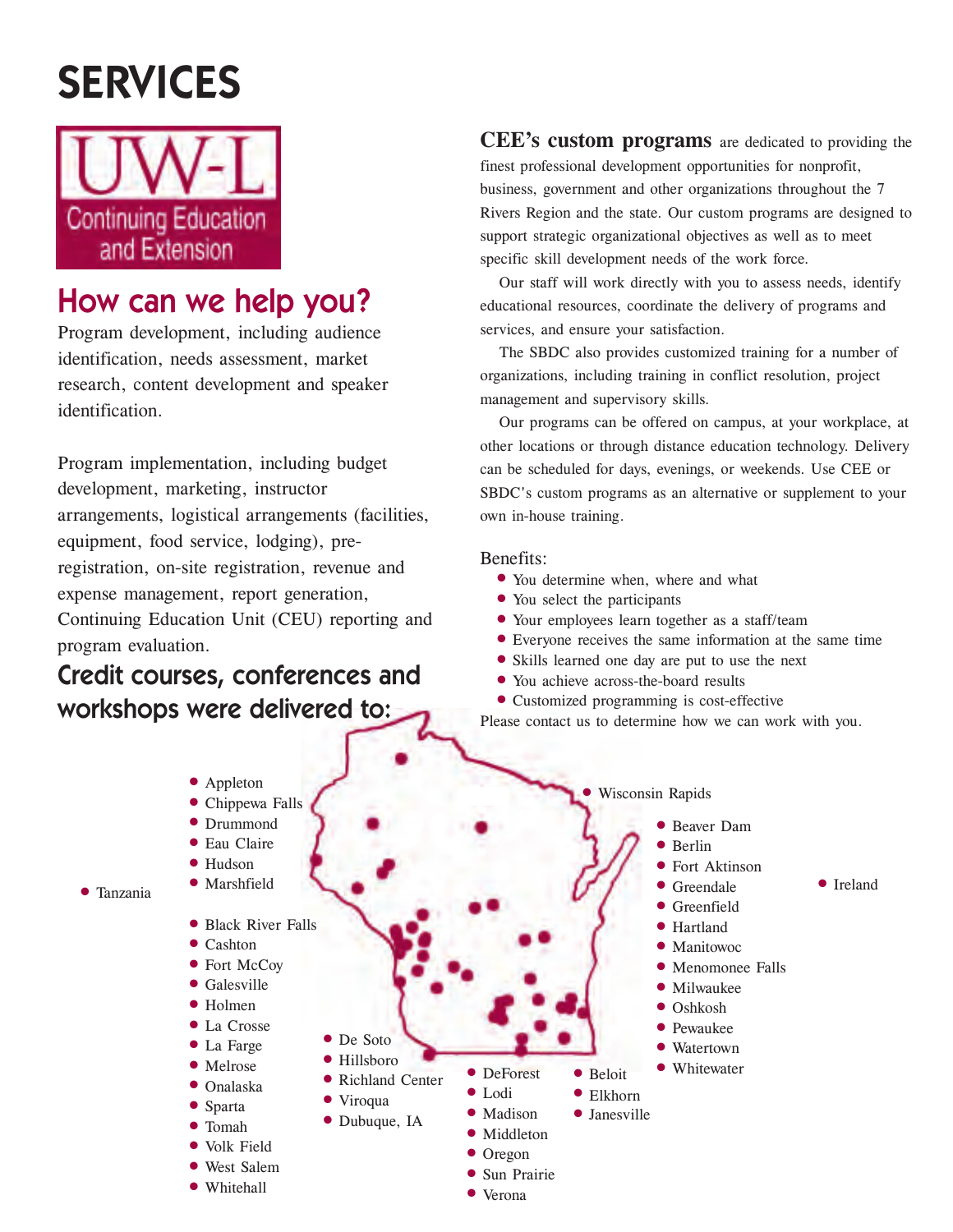## **SERVICES**



### **How can we help you?**

Program development, including audience identification, needs assessment, market research, content development and speaker identification.

Program implementation, including budget development, marketing, instructor arrangements, logistical arrangements (facilities, equipment, food service, lodging), preregistration, on-site registration, revenue and expense management, report generation, Continuing Education Unit (CEU) reporting and program evaluation.

### **Credit courses, conferences and workshops were delivered to:**

**CEE's custom programs** are dedicated to providing the finest professional development opportunities for nonprofit, business, government and other organizations throughout the 7 Rivers Region and the state. Our custom programs are designed to support strategic organizational objectives as well as to meet specific skill development needs of the work force.

Our staff will work directly with you to assess needs, identify educational resources, coordinate the delivery of programs and services, and ensure your satisfaction.

The SBDC also provides customized training for a number of organizations, including training in conflict resolution, project management and supervisory skills.

Our programs can be offered on campus, at your workplace, at other locations or through distance education technology. Delivery can be scheduled for days, evenings, or weekends. Use CEE or SBDC's custom programs as an alternative or supplement to your own in-house training.

#### Benefits:

- You determine when, where and what
- You select the participants
- Your employees learn together as a staff/team
- Everyone receives the same information at the same time
- Skills learned one day are put to use the next
- You achieve across-the-board results
- Customized programming is cost-effective

Please contact us to determine how we can work with you.

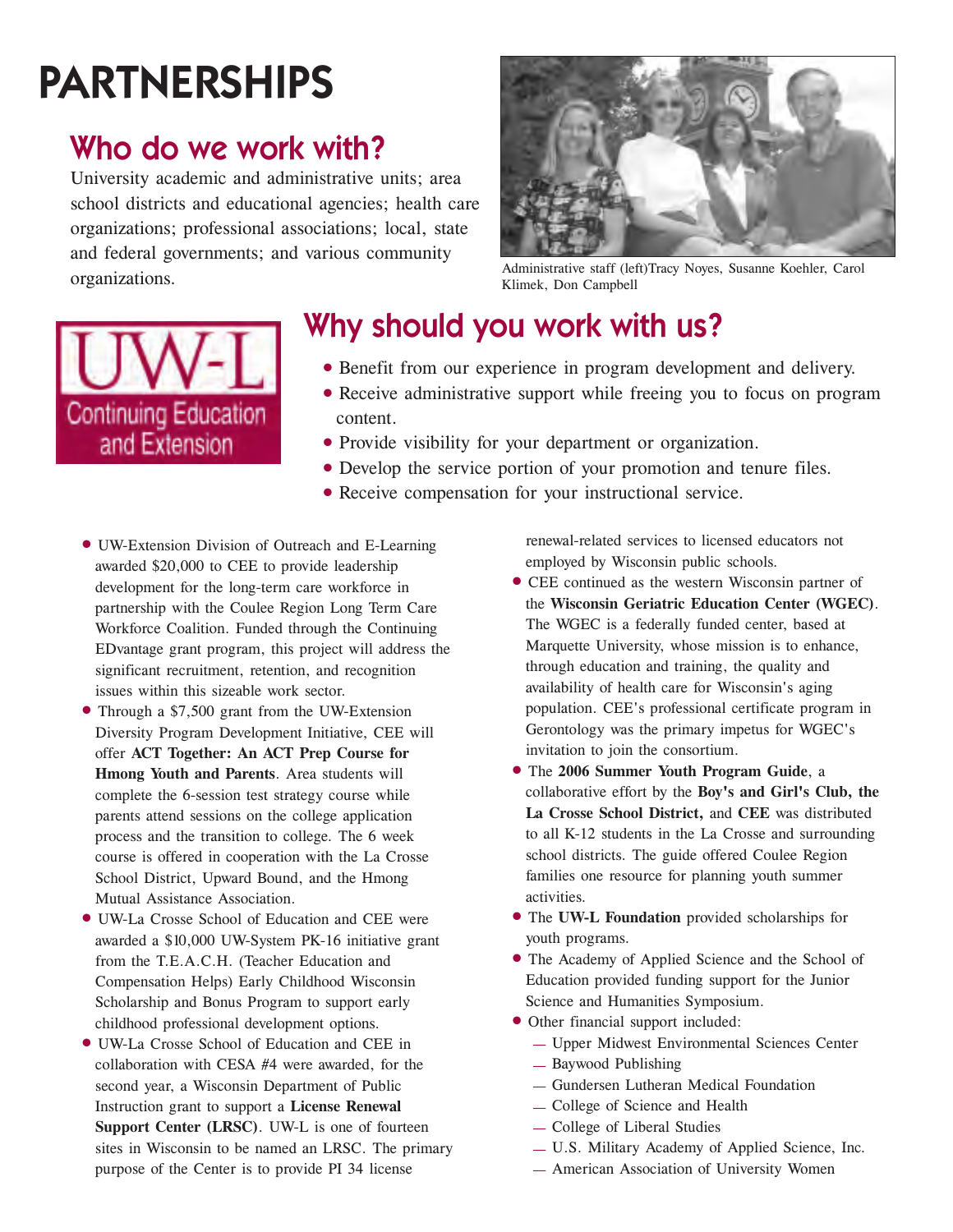# **PARTNERSHIPS**

### **Who do we work with?**

University academic and administrative units; area school districts and educational agencies; health care organizations; professional associations; local, state and federal governments; and various community organizations.



Administrative staff (left)Tracy Noyes, Susanne Koehler, Carol Klimek, Don Campbell



## **Why should you work with us?**

- Benefit from our experience in program development and delivery.
- Receive administrative support while freeing you to focus on program content.
- Provide visibility for your department or organization.
- Develop the service portion of your promotion and tenure files.
- Receive compensation for your instructional service.
- UW-Extension Division of Outreach and E-Learning awarded \$20,000 to CEE to provide leadership development for the long-term care workforce in partnership with the Coulee Region Long Term Care Workforce Coalition. Funded through the Continuing EDvantage grant program, this project will address the significant recruitment, retention, and recognition issues within this sizeable work sector.
- Through a \$7,500 grant from the UW-Extension Diversity Program Development Initiative, CEE will offer **ACT Together: An ACT Prep Course for Hmong Youth and Parents**. Area students will complete the 6-session test strategy course while parents attend sessions on the college application process and the transition to college. The 6 week course is offered in cooperation with the La Crosse School District, Upward Bound, and the Hmong Mutual Assistance Association.
- UW-La Crosse School of Education and CEE were awarded a \$10,000 UW-System PK-16 initiative grant from the T.E.A.C.H. (Teacher Education and Compensation Helps) Early Childhood Wisconsin Scholarship and Bonus Program to support early childhood professional development options.
- UW-La Crosse School of Education and CEE in collaboration with CESA #4 were awarded, for the second year, a Wisconsin Department of Public Instruction grant to support a **License Renewal Support Center (LRSC)**. UW-L is one of fourteen sites in Wisconsin to be named an LRSC. The primary purpose of the Center is to provide PI 34 license

renewal-related services to licensed educators not employed by Wisconsin public schools.

- CEE continued as the western Wisconsin partner of the **Wisconsin Geriatric Education Center (WGEC)**. The WGEC is a federally funded center, based at Marquette University, whose mission is to enhance, through education and training, the quality and availability of health care for Wisconsin's aging population. CEE's professional certificate program in Gerontology was the primary impetus for WGEC's invitation to join the consortium.
- The **2006 Summer Youth Program Guide**, a collaborative effort by the **Boy's and Girl's Club, the La Crosse School District,** and **CEE** was distributed to all K-12 students in the La Crosse and surrounding school districts. The guide offered Coulee Region families one resource for planning youth summer activities.
- The **UW-L Foundation** provided scholarships for youth programs.
- The Academy of Applied Science and the School of Education provided funding support for the Junior Science and Humanities Symposium.
- Other financial support included:
	- Upper Midwest Environmental Sciences Center
	- Baywood Publishing
	- Gundersen Lutheran Medical Foundation
	- College of Science and Health
	- College of Liberal Studies
	- U.S. Military Academy of Applied Science, Inc.
	- American Association of University Women